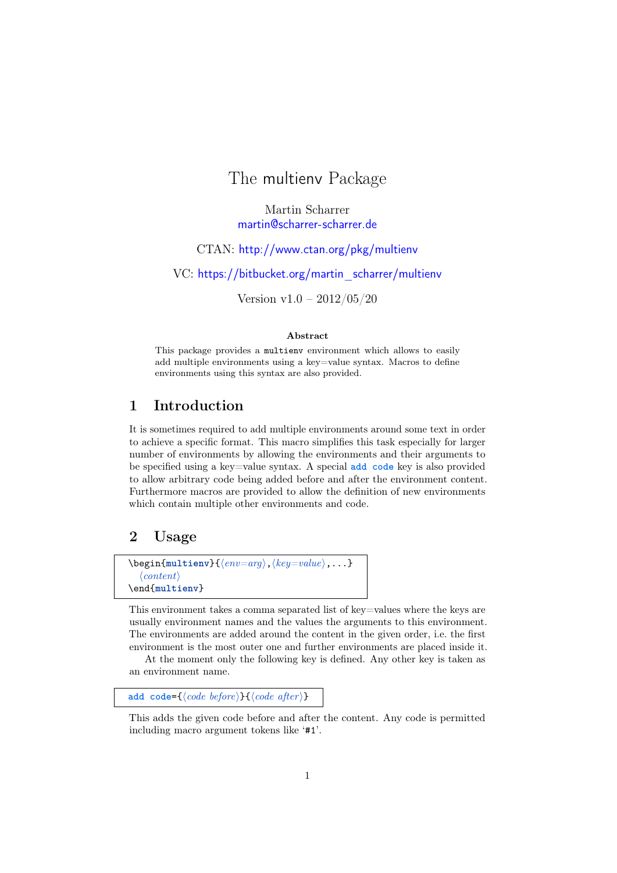# The multienv Package

Martin Scharrer [martin@scharrer-scharrer.de](mailto:martin@scharrer-scharrer.de)

CTAN: <http://www.ctan.org/pkg/multienv>

VC: [https://bitbucket.org/martin\\_scharrer/multienv](https://bitbucket.org/martin_scharrer/multienv)

Version v1.0 – 2012/05/20

#### Abstract

This package provides a multienv environment which allows to easily add multiple environments using a key=value syntax. Macros to define environments using this syntax are also provided.

### 1 Introduction

It is sometimes required to add multiple environments around some text in order to achieve a specific format. This macro simplifies this task especially for larger number of environments by allowing the environments and their arguments to be specified using a key=value syntax. A special **add code** key is also provided to allow arbitrary code being added before and after the environment content. Furthermore macros are provided to allow the definition of new environments which contain multiple other environments and code.

#### 2 Usage

```
\begin{equation*} \begin{multienv}{\langle env=arg\rangle, \langle key=value\rangle, \ldots\}\langle content \rangle\end{multienv}
```
This environment takes a comma separated list of key=values where the keys are usually environment names and the values the arguments to this environment. The environments are added around the content in the given order, i.e. the first environment is the most outer one and further environments are placed inside it.

At the moment only the following key is defined. Any other key is taken as an environment name.

add code= $\{\langle code\ before\rangle\}\{\langle code\ after\rangle\}$ 

This adds the given code before and after the content. Any code is permitted including macro argument tokens like '#1'.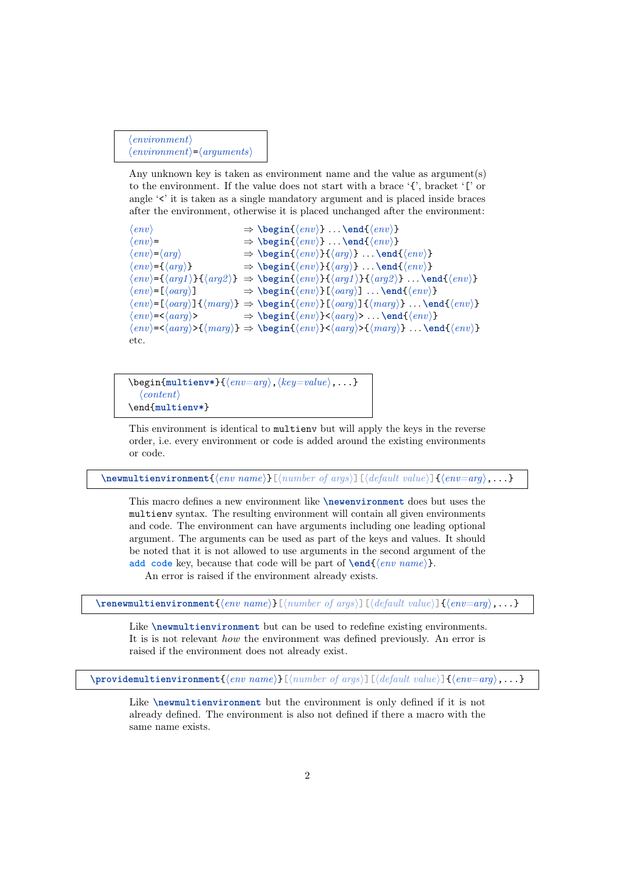```
\langle environment \rangle\langle environment \rangle = \langle arguments \rangle
```
Any unknown key is taken as environment name and the value as argument(s) to the environment. If the value does not start with a brace '{', bracket '[' or angle '<' it is taken as a single mandatory argument and is placed inside braces after the environment, otherwise it is placed unchanged after the environment:

```
\langle env \rangle \rightarrow \begin{array}{c} \langle env \rangle \end{array}... \end{\langle env \rangle}
\langle env \rangle = \Rightarrow \begin{array}{l} \langle env \rangle + \langle env \rangle + \langle env \rangle + \langle env \rangle + \langle env \rangle + \langle env \rangle + \langle env \rangle + \langle env \rangle + \langle env \rangle + \langle new \rangle + \langle new \rangle + \langle new \rangle + \langle new \rangle + \langle new \rangle + \langle new \rangle + \langle new \rangle + \langle new \rangle + \langle new \rangle + \langle new \rangle + \langle new \rangle + \langle new \rangle + \langle new \rangle + \langle new \rangle + \langle new \rangle + \langle new \rangle + \langle new \rangle + \langle new \rangle + \langle new \rangle + \langle new \rangle + \langle new \rangle + \langle new \rangle + \langle new \rangle + \langle new \rangle + \langle new \rangle + \\Rightarrow \begin{cases} \text{env} \\ \text{arg} \end{cases} \dots \end{cases}\langle env \rangle = {\langle arg \rangle} \Rightarrow \begin{cases} \langle env \rangle = {\langle arg \rangle} \dots \rangle \end{cases}\langle env \rangle = \langle \langle arg1 \rangle} \langle \langle arg2 \rangle \Rightarrow \begin{\env}}{\arg1 \end{\arg2 \end{\arg\nargal} . . . \end{\env}
\langle env \rangle = [\langle oarg \rangle] \Rightarrow \begin{cases} \langle env \rangle[\langle oarg \rangle] \dots \langle env \rangle \end{cases}\langle env \rangle = [\langle oarg \rangle] \{ \langle marg \rangle\} \Rightarrow \begin{cases} \langle env \rangle \} [\langle oarg \rangle] \{ \langle marg \rangle\} \dots \end{cases}\langle env \rangle = \langle (aarg \rangle > \Rightarrow \begin{cases} \langle env \rangle \} \langle (aarg \rangle > \dots \langle env \rangle \} \end{cases}\langle env \rangle = \langle (aarg \rangle \{ \langle marq \rangle\} \Rightarrow \text{ \& } \langle canq \rangle \{ \langle marq \rangle\} \dots \text{ \& } \langle env \rangleetc.
```
 $\begin{equation*} {\text{mu} \times} {\text{env}=arg}, \langle key = value \rangle, \ldots \end{equation*}$  $\langle content \rangle$ \end{**multienv\***}

This environment is identical to multienv but will apply the keys in the reverse order, i.e. every environment or code is added around the existing environments or code.

 $\mathcal{H}$  \newmultienvironment{\env name}}[\number of args\][\default value\]{\env=arg\,...}

This macro defines a new environment like **\newenvironment** does but uses the multienv syntax. The resulting environment will contain all given environments and code. The environment can have arguments including one leading optional argument. The arguments can be used as part of the keys and values. It should be noted that it is not allowed to use arguments in the second argument of the add code key, because that code will be part of  $\end{math{ (env name)}.$ 

An error is raised if the environment already exists.

 $\mathcal{H}$  (environment $\{\langle env \ name \rangle\}$ [ $\langle new \ name \rbrace$ ][ $\langle new \ name \rbrace$ ][ $\langle env = arg \rangle, \ldots$ }

Like **\newmultienvironment** but can be used to redefine existing environments. It is is not relevant how the environment was defined previously. An error is raised if the environment does not already exist.

 $\mathcal{S}[\{env\colon\mathbb{R}^n\colon\mathbb{R}^n\colon\mathbb{R}^n\colon\mathbb{R}^n\colon\mathbb{R}^n\colon\mathbb{R}^n\colon\mathbb{R}^n\colon\mathbb{R}^n\colon\mathbb{R}^n\colon\mathbb{R}^n\colon\mathbb{R}^n\colon\mathbb{R}^n\colon\mathbb{R}^n\colon\mathbb{R}^n\colon\mathbb{R}^n\colon\mathbb{R}^n\colon\mathbb{R}^n\colon\mathbb{R}^n\colon\mathbb{R}^n\colon\mathbb{R}^n\colon\mathbb{R}^n$ 

Like **\newmultienvironment** but the environment is only defined if it is not already defined. The environment is also not defined if there a macro with the same name exists.